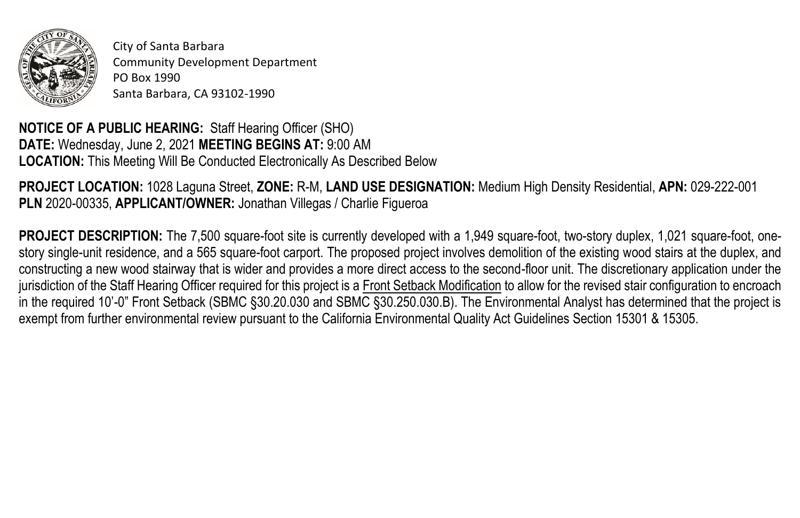

City of Santa Barbara Community Development Department PO Box 1990 Santa Barbara, CA 93102-1990

**NOTICE OF A PUBLIC HEARING:** Staff Hearing Officer (SHO) **DATE:** Wednesday, June 2, 2021 **MEETING BEGINS AT:** 9:00 AM **LOCATION:** This Meeting Will Be Conducted Electronically As Described Below

**PROJECT LOCATION:** 1028 Laguna Street, **ZONE:** R-M, **LAND USE DESIGNATION:** Medium High Density Residential, **APN:** 029-222-001 **PLN** 2020-00335, **APPLICANT/OWNER:** Jonathan Villegas / Charlie Figueroa

**PROJECT DESCRIPTION:** The 7,500 square-foot site is currently developed with a 1,949 square-foot, two-story duplex, 1,021 square-foot, onestory single-unit residence, and a 565 square-foot carport. The proposed project involves demolition of the existing wood stairs at the duplex, and constructing a new wood stairway that is wider and provides a more direct access to the second-floor unit. The discretionary application under the jurisdiction of the Staff Hearing Officer required for this project is a Front Setback Modification to allow for the revised stair configuration to encroach in the required 10'-0" Front Setback (SBMC §30.20.030 and SBMC §30.250.030.B). The Environmental Analyst has determined that the project is exempt from further environmental review pursuant to the California Environmental Quality Act Guidelines Section 15301 & 15305.